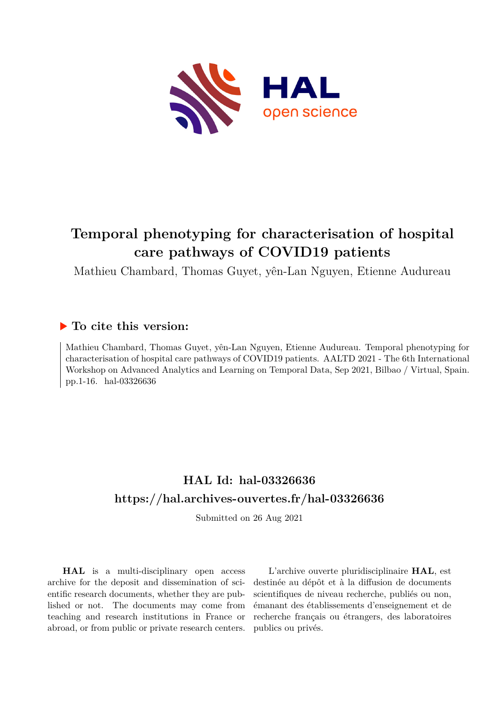

# **Temporal phenotyping for characterisation of hospital care pathways of COVID19 patients**

Mathieu Chambard, Thomas Guyet, yên-Lan Nguyen, Etienne Audureau

# **To cite this version:**

Mathieu Chambard, Thomas Guyet, yên-Lan Nguyen, Etienne Audureau. Temporal phenotyping for characterisation of hospital care pathways of COVID19 patients. AALTD 2021 - The 6th International Workshop on Advanced Analytics and Learning on Temporal Data, Sep 2021, Bilbao / Virtual, Spain. pp.1-16. hal-03326636

# **HAL Id: hal-03326636 <https://hal.archives-ouvertes.fr/hal-03326636>**

Submitted on 26 Aug 2021

**HAL** is a multi-disciplinary open access archive for the deposit and dissemination of scientific research documents, whether they are published or not. The documents may come from teaching and research institutions in France or abroad, or from public or private research centers.

L'archive ouverte pluridisciplinaire **HAL**, est destinée au dépôt et à la diffusion de documents scientifiques de niveau recherche, publiés ou non, émanant des établissements d'enseignement et de recherche français ou étrangers, des laboratoires publics ou privés.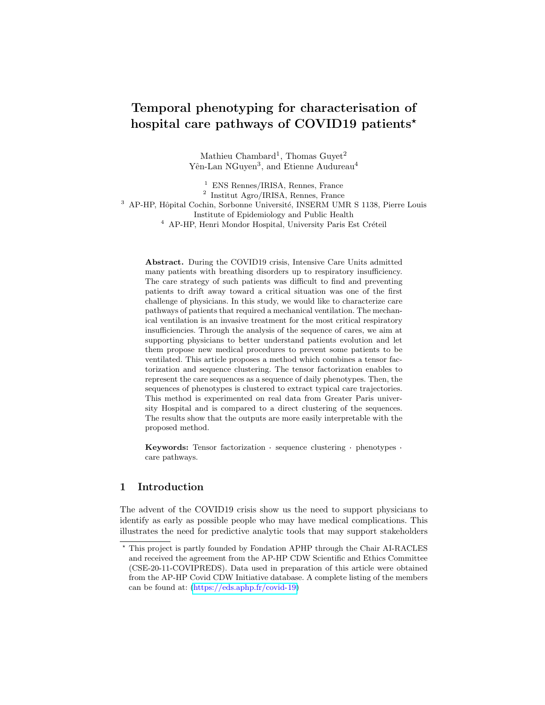# Temporal phenotyping for characterisation of hospital care pathways of COVID19 patients<sup>\*</sup>

Mathieu Chambard<sup>1</sup>, Thomas Guyet<sup>2</sup> Yên-Lan NGuyen<sup>3</sup>, and Etienne Audureau<sup>4</sup>

<sup>1</sup> ENS Rennes/IRISA, Rennes, France 2 Institut Agro/IRISA, Rennes, France <sup>3</sup> AP-HP, Hôpital Cochin, Sorbonne Université, INSERM UMR S 1138, Pierre Louis Institute of Epidemiology and Public Health  $^4\,$  AP-HP, Henri Mondor Hospital, University Paris Est Créteil

Abstract. During the COVID19 crisis, Intensive Care Units admitted many patients with breathing disorders up to respiratory insufficiency. The care strategy of such patients was difficult to find and preventing patients to drift away toward a critical situation was one of the first challenge of physicians. In this study, we would like to characterize care pathways of patients that required a mechanical ventilation. The mechanical ventilation is an invasive treatment for the most critical respiratory insufficiencies. Through the analysis of the sequence of cares, we aim at supporting physicians to better understand patients evolution and let them propose new medical procedures to prevent some patients to be ventilated. This article proposes a method which combines a tensor factorization and sequence clustering. The tensor factorization enables to represent the care sequences as a sequence of daily phenotypes. Then, the sequences of phenotypes is clustered to extract typical care trajectories. This method is experimented on real data from Greater Paris university Hospital and is compared to a direct clustering of the sequences. The results show that the outputs are more easily interpretable with the proposed method.

Keywords: Tensor factorization · sequence clustering · phenotypes · care pathways.

# 1 Introduction

The advent of the COVID19 crisis show us the need to support physicians to identify as early as possible people who may have medical complications. This illustrates the need for predictive analytic tools that may support stakeholders

<sup>?</sup> This project is partly founded by Fondation APHP through the Chair AI-RACLES and received the agreement from the AP-HP CDW Scientific and Ethics Committee (CSE-20-11-COVIPREDS). Data used in preparation of this article were obtained from the AP-HP Covid CDW Initiative database. A complete listing of the members can be found at: [\(https://eds.aphp.fr/covid-19\)](https://eds.aphp.fr/covid-19)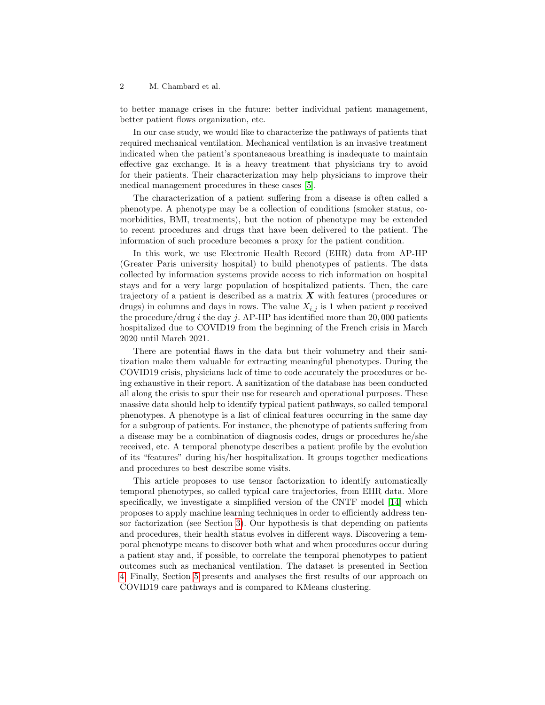to better manage crises in the future: better individual patient management, better patient flows organization, etc.

In our case study, we would like to characterize the pathways of patients that required mechanical ventilation. Mechanical ventilation is an invasive treatment indicated when the patient's spontaneaous breathing is inadequate to maintain effective gaz exchange. It is a heavy treatment that physicians try to avoid for their patients. Their characterization may help physicians to improve their medical management procedures in these cases [5].

The characterization of a patient suffering from a disease is often called a phenotype. A phenotype may be a collection of conditions (smoker status, comorbidities, BMI, treatments), but the notion of phenotype may be extended to recent procedures and drugs that have been delivered to the patient. The information of such procedure becomes a proxy for the patient condition.

In this work, we use Electronic Health Record (EHR) data from AP-HP (Greater Paris university hospital) to build phenotypes of patients. The data collected by information systems provide access to rich information on hospital stays and for a very large population of hospitalized patients. Then, the care trajectory of a patient is described as a matrix  $\boldsymbol{X}$  with features (procedures or drugs) in columns and days in rows. The value  $X_{i,j}$  is 1 when patient p received the procedure/drug  $i$  the day  $j$ . AP-HP has identified more than 20,000 patients hospitalized due to COVID19 from the beginning of the French crisis in March 2020 until March 2021.

There are potential flaws in the data but their volumetry and their sanitization make them valuable for extracting meaningful phenotypes. During the COVID19 crisis, physicians lack of time to code accurately the procedures or being exhaustive in their report. A sanitization of the database has been conducted all along the crisis to spur their use for research and operational purposes. These massive data should help to identify typical patient pathways, so called temporal phenotypes. A phenotype is a list of clinical features occurring in the same day for a subgroup of patients. For instance, the phenotype of patients suffering from a disease may be a combination of diagnosis codes, drugs or procedures he/she received, etc. A temporal phenotype describes a patient profile by the evolution of its "features" during his/her hospitalization. It groups together medications and procedures to best describe some visits.

This article proposes to use tensor factorization to identify automatically temporal phenotypes, so called typical care trajectories, from EHR data. More specifically, we investigate a simplified version of the CNTF model [14] which proposes to apply machine learning techniques in order to efficiently address tensor factorization (see Section 3). Our hypothesis is that depending on patients and procedures, their health status evolves in different ways. Discovering a temporal phenotype means to discover both what and when procedures occur during a patient stay and, if possible, to correlate the temporal phenotypes to patient outcomes such as mechanical ventilation. The dataset is presented in Section 4. Finally, Section 5 presents and analyses the first results of our approach on COVID19 care pathways and is compared to KMeans clustering.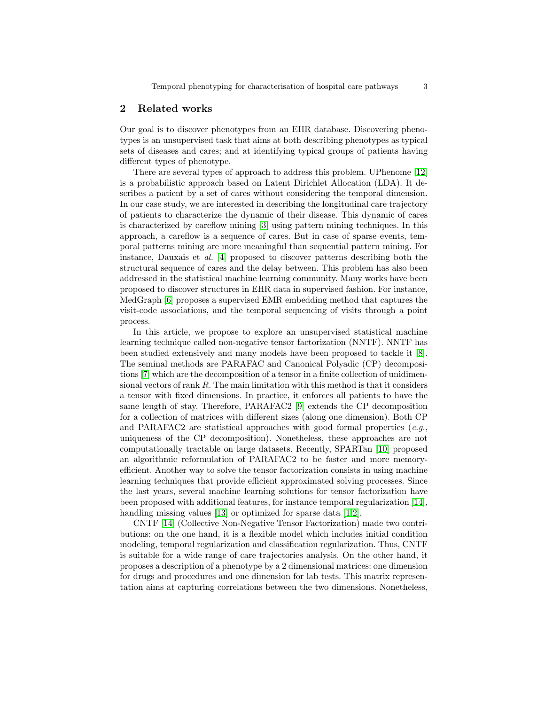# 2 Related works

Our goal is to discover phenotypes from an EHR database. Discovering phenotypes is an unsupervised task that aims at both describing phenotypes as typical sets of diseases and cares; and at identifying typical groups of patients having different types of phenotype.

There are several types of approach to address this problem. UPhenome [12] is a probabilistic approach based on Latent Dirichlet Allocation (LDA). It describes a patient by a set of cares without considering the temporal dimension. In our case study, we are interested in describing the longitudinal care trajectory of patients to characterize the dynamic of their disease. This dynamic of cares is characterized by careflow mining [3] using pattern mining techniques. In this approach, a careflow is a sequence of cares. But in case of sparse events, temporal patterns mining are more meaningful than sequential pattern mining. For instance, Dauxais et al. [4] proposed to discover patterns describing both the structural sequence of cares and the delay between. This problem has also been addressed in the statistical machine learning community. Many works have been proposed to discover structures in EHR data in supervised fashion. For instance, MedGraph [6] proposes a supervised EMR embedding method that captures the visit-code associations, and the temporal sequencing of visits through a point process.

In this article, we propose to explore an unsupervised statistical machine learning technique called non-negative tensor factorization (NNTF). NNTF has been studied extensively and many models have been proposed to tackle it [8]. The seminal methods are PARAFAC and Canonical Polyadic (CP) decompositions [7] which are the decomposition of a tensor in a finite collection of unidimensional vectors of rank R. The main limitation with this method is that it considers a tensor with fixed dimensions. In practice, it enforces all patients to have the same length of stay. Therefore, PARAFAC2 [9] extends the CP decomposition for a collection of matrices with different sizes (along one dimension). Both CP and PARAFAC2 are statistical approaches with good formal properties  $(e.g.,$ uniqueness of the CP decomposition). Nonetheless, these approaches are not computationally tractable on large datasets. Recently, SPARTan [10] proposed an algorithmic reformulation of PARAFAC2 to be faster and more memoryefficient. Another way to solve the tensor factorization consists in using machine learning techniques that provide efficient approximated solving processes. Since the last years, several machine learning solutions for tensor factorization have been proposed with additional features, for instance temporal regularization [14], handling missing values [13] or optimized for sparse data [1,2].

CNTF [14] (Collective Non-Negative Tensor Factorization) made two contributions: on the one hand, it is a flexible model which includes initial condition modeling, temporal regularization and classification regularization. Thus, CNTF is suitable for a wide range of care trajectories analysis. On the other hand, it proposes a description of a phenotype by a 2 dimensional matrices: one dimension for drugs and procedures and one dimension for lab tests. This matrix representation aims at capturing correlations between the two dimensions. Nonetheless,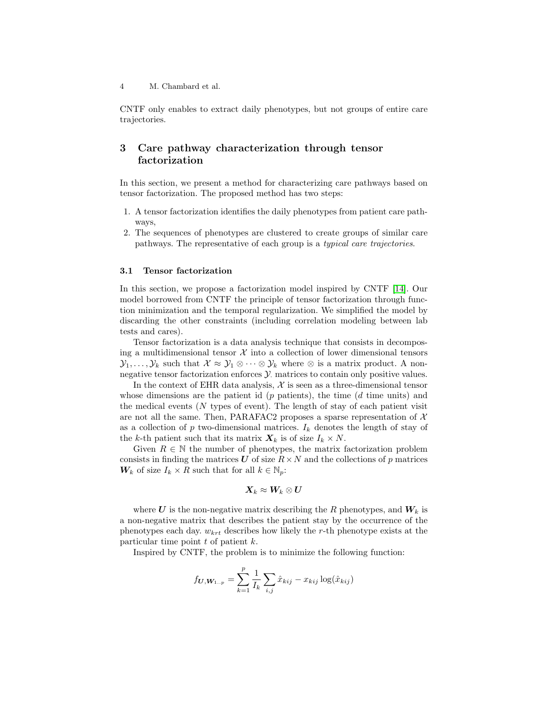CNTF only enables to extract daily phenotypes, but not groups of entire care trajectories.

# 3 Care pathway characterization through tensor factorization

In this section, we present a method for characterizing care pathways based on tensor factorization. The proposed method has two steps:

- 1. A tensor factorization identifies the daily phenotypes from patient care pathways,
- 2. The sequences of phenotypes are clustered to create groups of similar care pathways. The representative of each group is a typical care trajectories.

#### 3.1 Tensor factorization

In this section, we propose a factorization model inspired by CNTF [14]. Our model borrowed from CNTF the principle of tensor factorization through function minimization and the temporal regularization. We simplified the model by discarding the other constraints (including correlation modeling between lab tests and cares).

Tensor factorization is a data analysis technique that consists in decomposing a multidimensional tensor  $X$  into a collection of lower dimensional tensors  $\mathcal{Y}_1,\ldots,\mathcal{Y}_k$  such that  $\mathcal{X} \approx \mathcal{Y}_1 \otimes \cdots \otimes \mathcal{Y}_k$  where  $\otimes$  is a matrix product. A nonnegative tensor factorization enforces  $\mathcal Y$  matrices to contain only positive values.

In the context of EHR data analysis,  $X$  is seen as a three-dimensional tensor whose dimensions are the patient id  $(p \text{ patients})$ , the time  $(d \text{ time units})$  and the medical events  $(N$  types of event). The length of stay of each patient visit are not all the same. Then, PARAFAC2 proposes a sparse representation of  $\mathcal{X}$ as a collection of p two-dimensional matrices.  $I_k$  denotes the length of stay of the k-th patient such that its matrix  $\mathbf{X}_k$  is of size  $I_k \times N$ .

Given  $R \in \mathbb{N}$  the number of phenotypes, the matrix factorization problem consists in finding the matrices U of size  $R \times N$  and the collections of p matrices  $W_k$  of size  $I_k \times R$  such that for all  $k \in \mathbb{N}_p$ :

$$
\boldsymbol{X}_k \approx \boldsymbol{W}_k \otimes \boldsymbol{U}
$$

where U is the non-negative matrix describing the R phenotypes, and  $W_k$  is a non-negative matrix that describes the patient stay by the occurrence of the phenotypes each day.  $w_{krt}$  describes how likely the r-th phenotype exists at the particular time point  $t$  of patient  $k$ .

Inspired by CNTF, the problem is to minimize the following function:

$$
f_{U,W_{1..p}} = \sum_{k=1}^{p} \frac{1}{I_k} \sum_{i,j} \hat{x}_{kij} - x_{kij} \log(\hat{x}_{kij})
$$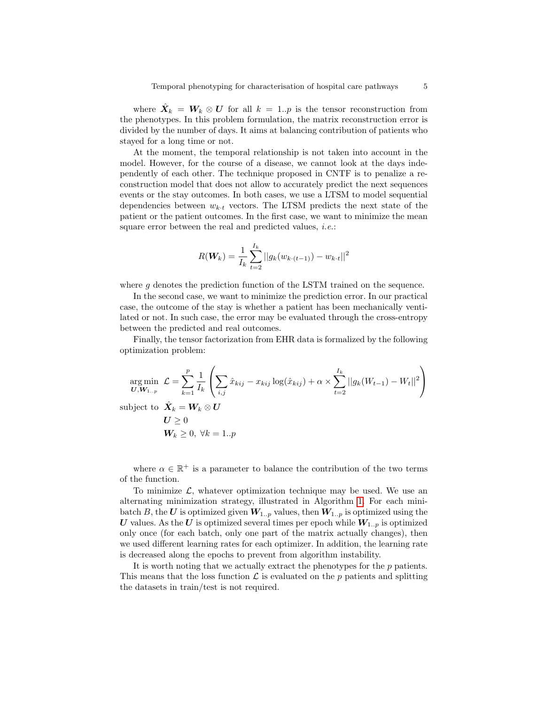where  $\hat{X}_k = W_k \otimes U$  for all  $k = 1..p$  is the tensor reconstruction from the phenotypes. In this problem formulation, the matrix reconstruction error is divided by the number of days. It aims at balancing contribution of patients who stayed for a long time or not.

At the moment, the temporal relationship is not taken into account in the model. However, for the course of a disease, we cannot look at the days independently of each other. The technique proposed in CNTF is to penalize a reconstruction model that does not allow to accurately predict the next sequences events or the stay outcomes. In both cases, we use a LTSM to model sequential dependencies between  $w_{k \cdot t}$  vectors. The LTSM predicts the next state of the patient or the patient outcomes. In the first case, we want to minimize the mean square error between the real and predicted values, *i.e.*:

$$
R(\boldsymbol{W}_k) = \frac{1}{I_k} \sum_{t=2}^{I_k} ||g_k(w_{k \cdot (t-1)}) - w_{k \cdot t}||^2
$$

where g denotes the prediction function of the LSTM trained on the sequence.

In the second case, we want to minimize the prediction error. In our practical case, the outcome of the stay is whether a patient has been mechanically ventilated or not. In such case, the error may be evaluated through the cross-entropy between the predicted and real outcomes.

Finally, the tensor factorization from EHR data is formalized by the following optimization problem:

$$
\arg\min_{\mathbf{U}, \mathbf{W}_{1..p}} \mathcal{L} = \sum_{k=1}^p \frac{1}{I_k} \left( \sum_{i,j} \hat{x}_{kij} - x_{kij} \log(\hat{x}_{kij}) + \alpha \times \sum_{t=2}^{I_k} ||g_k(W_{t-1}) - W_t||^2 \right)
$$
\n
$$
\text{subject to } \hat{\mathbf{X}}_k = \mathbf{W}_k \otimes \mathbf{U}
$$
\n
$$
\mathbf{U} \ge 0
$$
\n
$$
\mathbf{W}_k \ge 0, \forall k = 1..p
$$

where  $\alpha \in \mathbb{R}^+$  is a parameter to balance the contribution of the two terms of the function.

To minimize  $\mathcal{L}$ , whatever optimization technique may be used. We use an alternating minimization strategy, illustrated in Algorithm 1. For each minibatch B, the U is optimized given  $W_{1..p}$  values, then  $W_{1..p}$  is optimized using the U values. As the U is optimized several times per epoch while  $W_{1..p}$  is optimized only once (for each batch, only one part of the matrix actually changes), then we used different learning rates for each optimizer. In addition, the learning rate is decreased along the epochs to prevent from algorithm instability.

It is worth noting that we actually extract the phenotypes for the p patients. This means that the loss function  $\mathcal L$  is evaluated on the p patients and splitting the datasets in train/test is not required.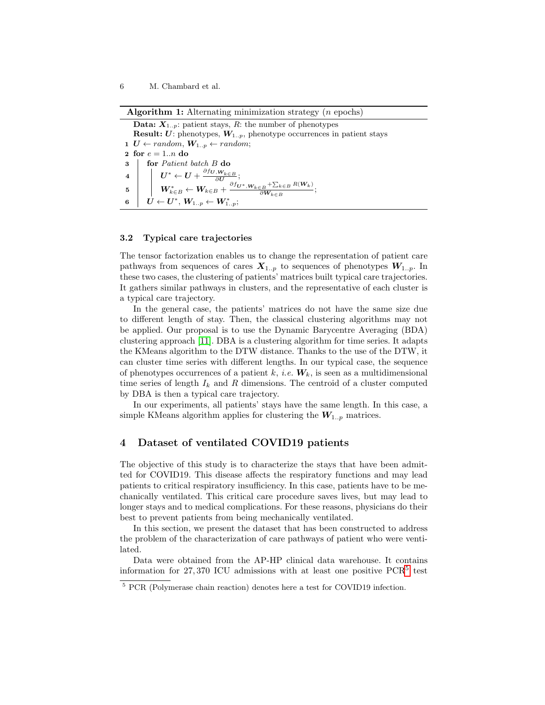Algorithm 1: Alternating minimization strategy  $(n \text{ epochs})$ 

**Data:**  $X_{1,n}$ : patient stays, R: the number of phenotypes **Result:**  $U$ : phenotypes,  $W_{1..p}$ , phenotype occurrences in patient stays 1  $U \leftarrow random, W_{1..p} \leftarrow random;$ 2 for  $e = 1..n$  do 3 **for** Patient batch B do  $\begin{array}{cc} \textbf{4} \end{array} \left| \begin{array}{c} \end{array} \right| & \boldsymbol{U}^* \leftarrow \boldsymbol{U} + \frac{\partial f_{\boldsymbol{U},\boldsymbol{W}_{k \in B}}}{\partial \boldsymbol{U}}; \end{array}$  $\mathbf{5} \quad | \quad \bigg| \quad \boldsymbol{W}_{k\in B}^* \leftarrow \boldsymbol{W}_{k\in B} + \frac{\partial f_{\boldsymbol{U}^*}, \boldsymbol{W}_{k\in B} + \sum_{k\in B} R(\boldsymbol{W}_k)}{\partial \boldsymbol{W}_{k\in B}}$  $\frac{\partial^2 B}{\partial W_{k\in B}}$ ;  $\begin{array}{ccc} \mathbf{6} & U \leftarrow \boldsymbol{U}^*, \, \boldsymbol{W}_{1..p} \leftarrow \boldsymbol{W}_{1..p}^*; \end{array}$ 

#### 3.2 Typical care trajectories

The tensor factorization enables us to change the representation of patient care pathways from sequences of cares  $X_{1..p}$  to sequences of phenotypes  $W_{1..p}$ . In these two cases, the clustering of patients' matrices built typical care trajectories. It gathers similar pathways in clusters, and the representative of each cluster is a typical care trajectory.

In the general case, the patients' matrices do not have the same size due to different length of stay. Then, the classical clustering algorithms may not be applied. Our proposal is to use the Dynamic Barycentre Averaging (BDA) clustering approach [11]. DBA is a clustering algorithm for time series. It adapts the KMeans algorithm to the DTW distance. Thanks to the use of the DTW, it can cluster time series with different lengths. In our typical case, the sequence of phenotypes occurrences of a patient k, i.e.  $W_k$ , is seen as a multidimensional time series of length  $I_k$  and R dimensions. The centroid of a cluster computed by DBA is then a typical care trajectory.

In our experiments, all patients' stays have the same length. In this case, a simple KMeans algorithm applies for clustering the  $W_{1..p}$  matrices.

## 4 Dataset of ventilated COVID19 patients

The objective of this study is to characterize the stays that have been admitted for COVID19. This disease affects the respiratory functions and may lead patients to critical respiratory insufficiency. In this case, patients have to be mechanically ventilated. This critical care procedure saves lives, but may lead to longer stays and to medical complications. For these reasons, physicians do their best to prevent patients from being mechanically ventilated.

In this section, we present the dataset that has been constructed to address the problem of the characterization of care pathways of patient who were ventilated.

Data were obtained from the AP-HP clinical data warehouse. It contains information for 27,370 ICU admissions with at least one positive  $PCR<sup>5</sup>$  test

<sup>5</sup> PCR (Polymerase chain reaction) denotes here a test for COVID19 infection.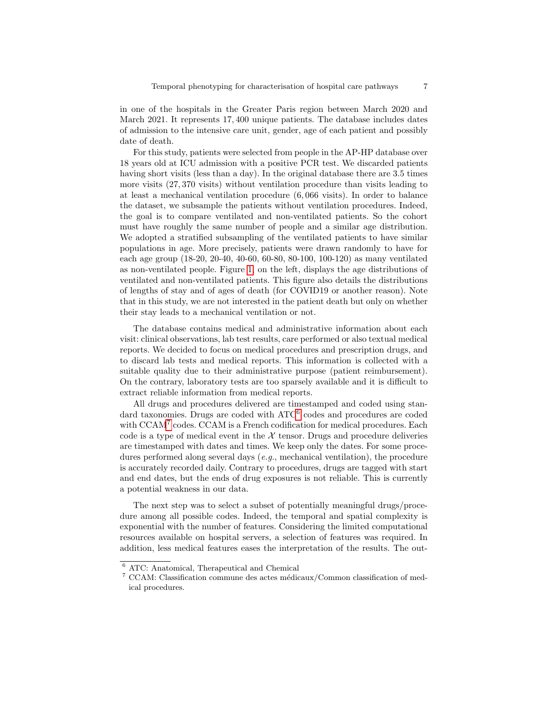in one of the hospitals in the Greater Paris region between March 2020 and March 2021. It represents 17, 400 unique patients. The database includes dates of admission to the intensive care unit, gender, age of each patient and possibly date of death.

For this study, patients were selected from people in the AP-HP database over 18 years old at ICU admission with a positive PCR test. We discarded patients having short visits (less than a day). In the original database there are 3.5 times more visits (27, 370 visits) without ventilation procedure than visits leading to at least a mechanical ventilation procedure (6, 066 visits). In order to balance the dataset, we subsample the patients without ventilation procedures. Indeed, the goal is to compare ventilated and non-ventilated patients. So the cohort must have roughly the same number of people and a similar age distribution. We adopted a stratified subsampling of the ventilated patients to have similar populations in age. More precisely, patients were drawn randomly to have for each age group (18-20, 20-40, 40-60, 60-80, 80-100, 100-120) as many ventilated as non-ventilated people. Figure 1, on the left, displays the age distributions of ventilated and non-ventilated patients. This figure also details the distributions of lengths of stay and of ages of death (for COVID19 or another reason). Note that in this study, we are not interested in the patient death but only on whether their stay leads to a mechanical ventilation or not.

The database contains medical and administrative information about each visit: clinical observations, lab test results, care performed or also textual medical reports. We decided to focus on medical procedures and prescription drugs, and to discard lab tests and medical reports. This information is collected with a suitable quality due to their administrative purpose (patient reimbursement). On the contrary, laboratory tests are too sparsely available and it is difficult to extract reliable information from medical reports.

All drugs and procedures delivered are timestamped and coded using standard taxonomies. Drugs are coded with ATC<sup>6</sup> codes and procedures are coded with CCAM7 codes. CCAM is a French codification for medical procedures. Each code is a type of medical event in the  $X$  tensor. Drugs and procedure deliveries are timestamped with dates and times. We keep only the dates. For some procedures performed along several days  $(e,q)$ , mechanical ventilation), the procedure is accurately recorded daily. Contrary to procedures, drugs are tagged with start and end dates, but the ends of drug exposures is not reliable. This is currently a potential weakness in our data.

The next step was to select a subset of potentially meaningful drugs/procedure among all possible codes. Indeed, the temporal and spatial complexity is exponential with the number of features. Considering the limited computational resources available on hospital servers, a selection of features was required. In addition, less medical features eases the interpretation of the results. The out-

<sup>6</sup> ATC: Anatomical, Therapeutical and Chemical

 $7$  CCAM: Classification commune des actes médicaux/Common classification of medical procedures.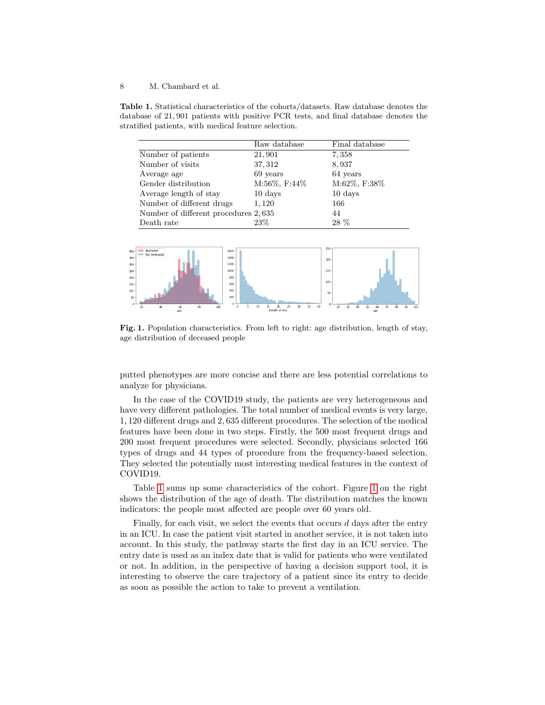Table 1. Statistical characteristics of the cohorts/datasets. Raw database denotes the database of 21, 901 patients with positive PCR tests, and final database denotes the stratified patients, with medical feature selection.

|                                      | Raw database      | Final database    |
|--------------------------------------|-------------------|-------------------|
| Number of patients                   | 21,901            | 7,358             |
| Number of visits                     | 37, 312           | 8,937             |
| Average age                          | 69 years          | 64 years          |
| Gender distribution                  | M:56%, F:44%      | M:62%, F:38%      |
| Average length of stay               | $10 \text{ days}$ | $10 \text{ days}$ |
| Number of different drugs            | 1,120             | 166               |
| Number of different procedures 2,635 |                   | 44                |
| Death rate                           | 23\%              | 28 %              |



Fig. 1. Population characteristics. From left to right: age distribution, length of stay, age distribution of deceased people

putted phenotypes are more concise and there are less potential correlations to analyze for physicians.

In the case of the COVID19 study, the patients are very heterogeneous and have very different pathologies. The total number of medical events is very large, 1, 120 different drugs and 2, 635 different procedures. The selection of the medical features have been done in two steps. Firstly, the 500 most frequent drugs and 200 most frequent procedures were selected. Secondly, physicians selected 166 types of drugs and 44 types of procedure from the frequency-based selection. They selected the potentially most interesting medical features in the context of COVID19.

Table 1 sums up some characteristics of the cohort. Figure 1 on the right shows the distribution of the age of death. The distribution matches the known indicators: the people most affected are people over 60 years old.

Finally, for each visit, we select the events that occurs  $d$  days after the entry in an ICU. In case the patient visit started in another service, it is not taken into account. In this study, the pathway starts the first day in an ICU service. The entry date is used as an index date that is valid for patients who were ventilated or not. In addition, in the perspective of having a decision support tool, it is interesting to observe the care trajectory of a patient since its entry to decide as soon as possible the action to take to prevent a ventilation.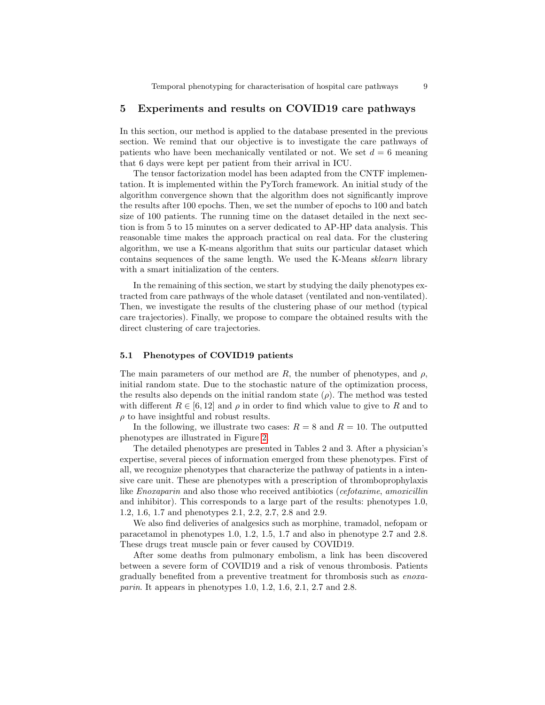## 5 Experiments and results on COVID19 care pathways

In this section, our method is applied to the database presented in the previous section. We remind that our objective is to investigate the care pathways of patients who have been mechanically ventilated or not. We set  $d = 6$  meaning that 6 days were kept per patient from their arrival in ICU.

The tensor factorization model has been adapted from the CNTF implementation. It is implemented within the PyTorch framework. An initial study of the algorithm convergence shown that the algorithm does not significantly improve the results after 100 epochs. Then, we set the number of epochs to 100 and batch size of 100 patients. The running time on the dataset detailed in the next section is from 5 to 15 minutes on a server dedicated to AP-HP data analysis. This reasonable time makes the approach practical on real data. For the clustering algorithm, we use a K-means algorithm that suits our particular dataset which contains sequences of the same length. We used the K-Means sklearn library with a smart initialization of the centers.

In the remaining of this section, we start by studying the daily phenotypes extracted from care pathways of the whole dataset (ventilated and non-ventilated). Then, we investigate the results of the clustering phase of our method (typical care trajectories). Finally, we propose to compare the obtained results with the direct clustering of care trajectories.

#### 5.1 Phenotypes of COVID19 patients

The main parameters of our method are R, the number of phenotypes, and  $\rho$ , initial random state. Due to the stochastic nature of the optimization process, the results also depends on the initial random state  $(\rho)$ . The method was tested with different  $R \in [6, 12]$  and  $\rho$  in order to find which value to give to R and to  $\rho$  to have insightful and robust results.

In the following, we illustrate two cases:  $R = 8$  and  $R = 10$ . The outputted phenotypes are illustrated in Figure 2.

The detailed phenotypes are presented in Tables 2 and 3. After a physician's expertise, several pieces of information emerged from these phenotypes. First of all, we recognize phenotypes that characterize the pathway of patients in a intensive care unit. These are phenotypes with a prescription of thromboprophylaxis like *Enoxaparin* and also those who received antibiotics (*cefotaxime, amoxicillin*) and inhibitor). This corresponds to a large part of the results: phenotypes 1.0, 1.2, 1.6, 1.7 and phenotypes 2.1, 2.2, 2.7, 2.8 and 2.9.

We also find deliveries of analgesics such as morphine, tramadol, nefopam or paracetamol in phenotypes 1.0, 1.2, 1.5, 1.7 and also in phenotype 2.7 and 2.8. These drugs treat muscle pain or fever caused by COVID19.

After some deaths from pulmonary embolism, a link has been discovered between a severe form of COVID19 and a risk of venous thrombosis. Patients gradually benefited from a preventive treatment for thrombosis such as enoxaparin. It appears in phenotypes 1.0, 1.2, 1.6, 2.1, 2.7 and 2.8.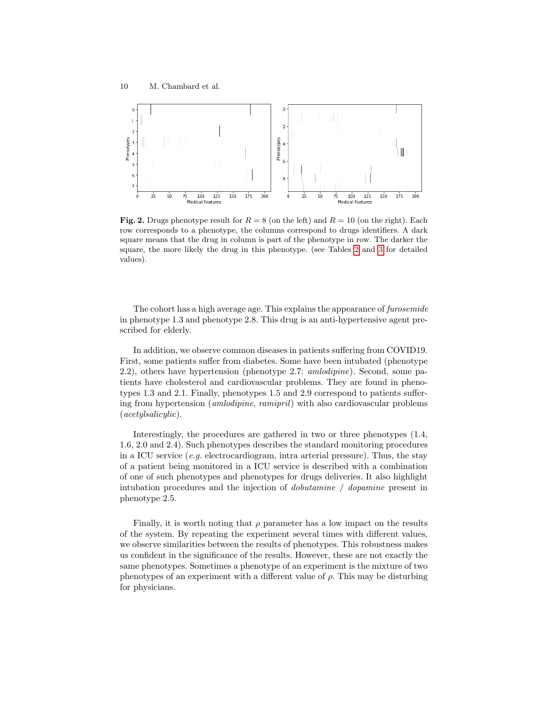

Fig. 2. Drugs phenotype result for  $R = 8$  (on the left) and  $R = 10$  (on the right). Each row corresponds to a phenotype, the columns correspond to drugs identifiers. A dark square means that the drug in column is part of the phenotype in row. The darker the square, the more likely the drug in this phenotype. (see Tables 2 and 3 for detailed values).

The cohort has a high average age. This explains the appearance of furosemide in phenotype 1.3 and phenotype 2.8. This drug is an anti-hypertensive agent prescribed for elderly.

In addition, we observe common diseases in patients suffering from COVID19. First, some patients suffer from diabetes. Some have been intubated (phenotype 2.2), others have hypertension (phenotype 2.7: amlodipine). Second, some patients have cholesterol and cardiovascular problems. They are found in phenotypes 1.3 and 2.1. Finally, phenotypes 1.5 and 2.9 correspond to patients suffering from hypertension (amlodipine, ramipril) with also cardiovascular problems (acetylsalicylic).

Interestingly, the procedures are gathered in two or three phenotypes (1.4, 1.6, 2.0 and 2.4). Such phenotypes describes the standard monitoring procedures in a ICU service (e.g. electrocardiogram, intra arterial pressure). Thus, the stay of a patient being monitored in a ICU service is described with a combination of one of such phenotypes and phenotypes for drugs deliveries. It also highlight intubation procedures and the injection of dobutamine / dopamine present in phenotype 2.5.

Finally, it is worth noting that  $\rho$  parameter has a low impact on the results of the system. By repeating the experiment several times with different values, we observe similarities between the results of phenotypes. This robustness makes us confident in the significance of the results. However, these are not exactly the same phenotypes. Sometimes a phenotype of an experiment is the mixture of two phenotypes of an experiment with a different value of  $\rho$ . This may be disturbing for physicians.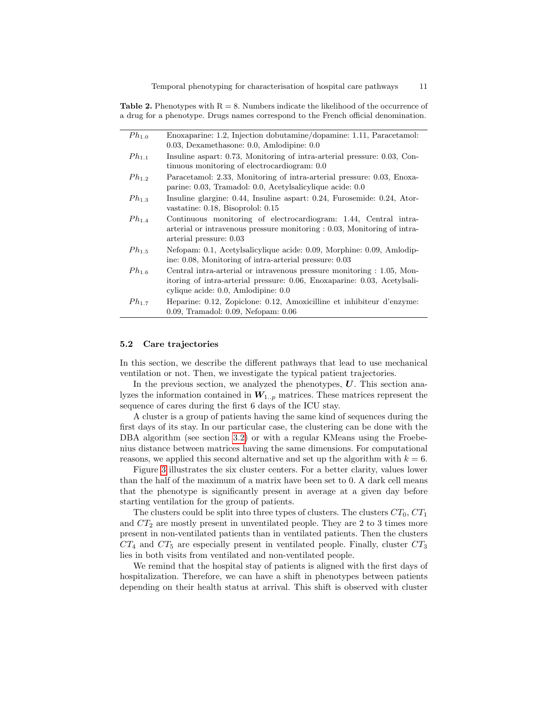**Table 2.** Phenotypes with  $R = 8$ . Numbers indicate the likelihood of the occurrence of a drug for a phenotype. Drugs names correspond to the French official denomination.

| $Ph_{1,0}$ | Enoxaparine: 1.2, Injection dobutamine/dopamine: 1.11, Paracetamol:<br>$0.03$ , Dexamethasone: 0.0, Amlodipine: $0.0$                                                                     |
|------------|-------------------------------------------------------------------------------------------------------------------------------------------------------------------------------------------|
|            |                                                                                                                                                                                           |
| $Ph_{1,1}$ | Insuline aspart: 0.73, Monitoring of intra-arterial pressure: 0.03, Con-<br>tinuous monitoring of electrocardiogram: 0.0                                                                  |
| $Ph_{1,2}$ | Paracetamol: 2.33, Monitoring of intra-arterial pressure: 0.03, Enoxa-<br>parine: 0.03, Tramadol: 0.0, Acetylsalicylique acide: 0.0                                                       |
| $Ph_{1,3}$ | Insuline glargine: 0.44, Insuline aspart: 0.24, Furosemide: 0.24, Ator-<br>vastatine: 0.18, Bisoprolol: 0.15                                                                              |
| $Ph_{1.4}$ | Continuous monitoring of electrocardiogram: 1.44, Central intra-<br>arterial or intravenous pressure monitoring $: 0.03$ , Monitoring of intra-<br>arterial pressure: 0.03                |
| $Ph_{1.5}$ | Nefopam: 0.1, Acetylsalicylique acide: 0.09, Morphine: 0.09, Amlodip-<br>ine: 0.08, Monitoring of intra-arterial pressure: 0.03                                                           |
| $Ph_{1.6}$ | Central intra-arterial or intravenous pressure monitoring : 1.05, Mon-<br>itoring of intra-arterial pressure: 0.06, Enoxaparine: 0.03, Acetylsali-<br>cylique acide: 0.0, Amlodipine: 0.0 |
| $Ph_{1.7}$ | Heparine: 0.12, Zopiclone: 0.12, Amoxicilline et inhibiteur d'enzyme:<br>$0.09$ , Tramadol: $0.09$ , Nefopam: $0.06$                                                                      |

#### 5.2 Care trajectories

In this section, we describe the different pathways that lead to use mechanical ventilation or not. Then, we investigate the typical patient trajectories.

In the previous section, we analyzed the phenotypes,  $U$ . This section analyzes the information contained in  $W_{1,p}$  matrices. These matrices represent the sequence of cares during the first 6 days of the ICU stay.

A cluster is a group of patients having the same kind of sequences during the first days of its stay. In our particular case, the clustering can be done with the DBA algorithm (see section 3.2) or with a regular KMeans using the Froebenius distance between matrices having the same dimensions. For computational reasons, we applied this second alternative and set up the algorithm with  $k = 6$ .

Figure 3 illustrates the six cluster centers. For a better clarity, values lower than the half of the maximum of a matrix have been set to 0. A dark cell means that the phenotype is significantly present in average at a given day before starting ventilation for the group of patients.

The clusters could be split into three types of clusters. The clusters  $CT_0$ ,  $CT_1$ and  $CT_2$  are mostly present in unventilated people. They are 2 to 3 times more present in non-ventilated patients than in ventilated patients. Then the clusters  $CT_4$  and  $CT_5$  are especially present in ventilated people. Finally, cluster  $CT_3$ lies in both visits from ventilated and non-ventilated people.

We remind that the hospital stay of patients is aligned with the first days of hospitalization. Therefore, we can have a shift in phenotypes between patients depending on their health status at arrival. This shift is observed with cluster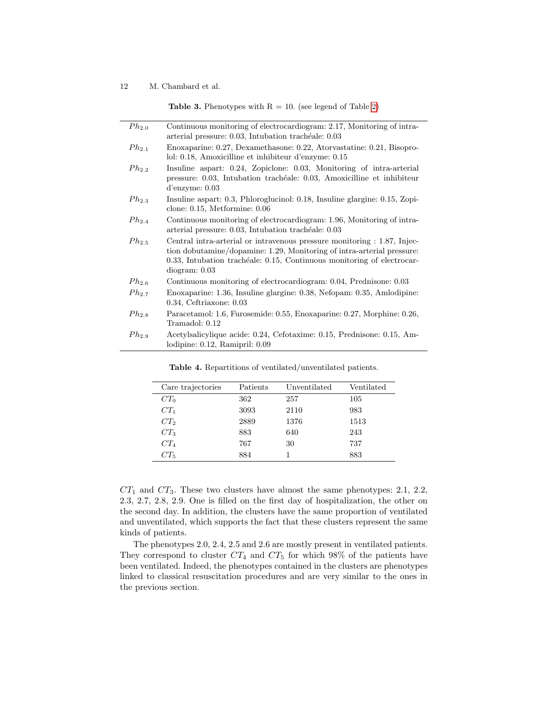**Table 3.** Phenotypes with  $R = 10$ . (see legend of Table 2)

| $Ph_{2.0}$ | Continuous monitoring of electrocardiogram: 2.17, Monitoring of intra-<br>arterial pressure: 0.03, Intubation trachéale: 0.03                                                                                                                 |
|------------|-----------------------------------------------------------------------------------------------------------------------------------------------------------------------------------------------------------------------------------------------|
| $Ph_{2.1}$ | Enoxaparine: 0.27, Dexamethasone: 0.22, Atorvastatine: 0.21, Bisopro-<br>lol: 0.18, Amoxicilline et inhibiteur d'enzyme: 0.15                                                                                                                 |
| $Ph_{2,2}$ | Insuline aspart: 0.24, Zopiclone: 0.03, Monitoring of intra-arterial<br>pressure: 0.03, Intubation trachéale: 0.03, Amoxicilline et inhibiteur<br>$d'$ enzyme: $0.03$                                                                         |
| $Ph_{2,3}$ | Insuline aspart: 0.3, Phloroglucinol: 0.18, Insuline glargine: 0.15, Zopi-<br>clone: $0.15$ , Metformine: $0.06$                                                                                                                              |
| $Ph_{2.4}$ | Continuous monitoring of electrocardiogram: 1.96, Monitoring of intra-<br>arterial pressure: 0.03, Intubation trachéale: 0.03                                                                                                                 |
| $Ph_{2.5}$ | Central intra-arterial or intravenous pressure monitoring : 1.87, Injec-<br>tion dobutamine/dopamine: 1.29, Monitoring of intra-arterial pressure:<br>0.33, Intubation trachéale: 0.15, Continuous monitoring of electrocar-<br>diogram: 0.03 |
| $Ph_{2.6}$ | Continuous monitoring of electrocardiogram: 0.04, Prednisone: 0.03                                                                                                                                                                            |
| $Ph_{2.7}$ | Enoxaparine: 1.36, Insuline glargine: 0.38, Nefopam: 0.35, Amlodipine:<br>$0.34$ , Ceftriaxone: $0.03$                                                                                                                                        |
| $Ph_{2.8}$ | Paracetamol: 1.6, Furosemide: 0.55, Enoxaparine: 0.27, Morphine: 0.26,<br>Tramadol: 0.12                                                                                                                                                      |
| $Ph_{2.9}$ | Acetylsalicylique acide: 0.24, Cefotaxime: 0.15, Prednisone: 0.15, Am-<br>lodipine: 0.12, Ramipril: 0.09                                                                                                                                      |

| Care trajectories | Patients | Unventilated | Ventilated |
|-------------------|----------|--------------|------------|
| $CT_0$            | 362      | 257          | 105        |
| $CT_1$            | 3093     | 2110         | 983        |
| $CT_2$            | 2889     | 1376         | 1513       |
| $CT_3$            | 883      | 640          | 243        |
| $CT_4$            | 767      | 30           | 737        |
| $CT_5$            | 884      |              | 883        |

Table 4. Repartitions of ventilated/unventilated patients.

 $CT_1$  and  $CT_3$ . These two clusters have almost the same phenotypes: 2.1, 2.2, 2.3, 2.7, 2.8, 2.9. One is filled on the first day of hospitalization, the other on the second day. In addition, the clusters have the same proportion of ventilated and unventilated, which supports the fact that these clusters represent the same kinds of patients.

The phenotypes 2.0, 2.4, 2.5 and 2.6 are mostly present in ventilated patients. They correspond to cluster  $CT_4$  and  $CT_5$  for which 98% of the patients have been ventilated. Indeed, the phenotypes contained in the clusters are phenotypes linked to classical resuscitation procedures and are very similar to the ones in the previous section.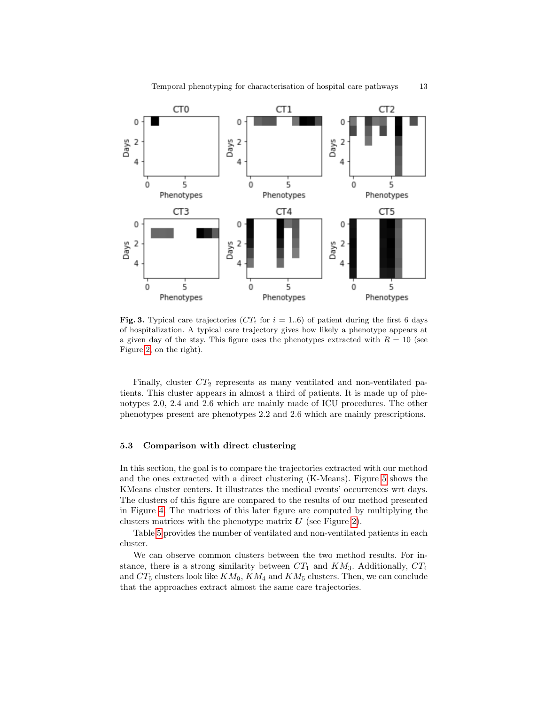

Fig. 3. Typical care trajectories ( $CT_i$  for  $i = 1..6$ ) of patient during the first 6 days of hospitalization. A typical care trajectory gives how likely a phenotype appears at a given day of the stay. This figure uses the phenotypes extracted with  $R = 10$  (see Figure 2, on the right).

Finally, cluster  $CT_2$  represents as many ventilated and non-ventilated patients. This cluster appears in almost a third of patients. It is made up of phenotypes 2.0, 2.4 and 2.6 which are mainly made of ICU procedures. The other phenotypes present are phenotypes 2.2 and 2.6 which are mainly prescriptions.

#### 5.3 Comparison with direct clustering

In this section, the goal is to compare the trajectories extracted with our method and the ones extracted with a direct clustering (K-Means). Figure 5 shows the KMeans cluster centers. It illustrates the medical events' occurrences wrt days. The clusters of this figure are compared to the results of our method presented in Figure 4. The matrices of this later figure are computed by multiplying the clusters matrices with the phenotype matrix  $\boldsymbol{U}$  (see Figure 2).

Table 5 provides the number of ventilated and non-ventilated patients in each cluster.

We can observe common clusters between the two method results. For instance, there is a strong similarity between  $CT_1$  and  $KM_3$ . Additionally,  $CT_4$ and  $CT_5$  clusters look like  $KM_0$ ,  $KM_4$  and  $KM_5$  clusters. Then, we can conclude that the approaches extract almost the same care trajectories.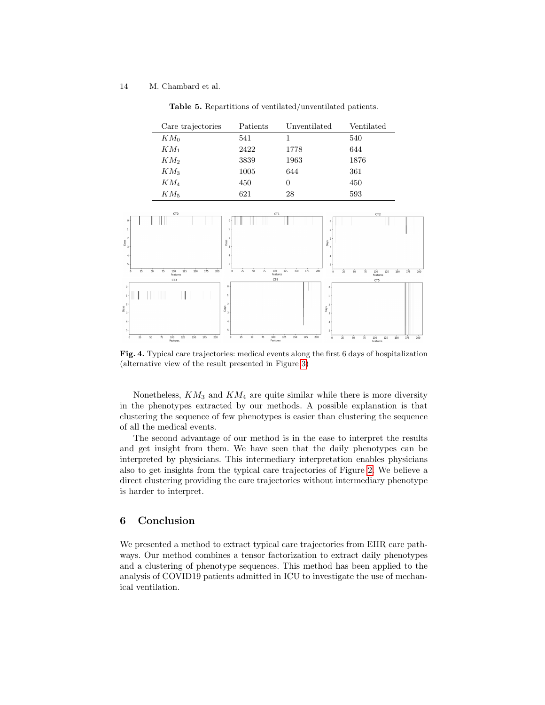Table 5. Repartitions of ventilated/unventilated patients.

| Care trajectories | Patients | Unventilated | Ventilated |
|-------------------|----------|--------------|------------|
| $KM_0$            | 541      |              | 540        |
| $KM_1$            | 2422     | 1778         | 644        |
| KM2               | 3839     | 1963         | 1876       |
| $KM_3$            | 1005     | 644          | 361        |
| $KM_4$            | 450      | $\theta$     | 450        |
| $KM$ 5            | 621      | 28           | 593        |



Fig. 4. Typical care trajectories: medical events along the first 6 days of hospitalization (alternative view of the result presented in Figure 3)

Nonetheless,  $KM_3$  and  $KM_4$  are quite similar while there is more diversity in the phenotypes extracted by our methods. A possible explanation is that clustering the sequence of few phenotypes is easier than clustering the sequence of all the medical events.

The second advantage of our method is in the ease to interpret the results and get insight from them. We have seen that the daily phenotypes can be interpreted by physicians. This intermediary interpretation enables physicians also to get insights from the typical care trajectories of Figure 2. We believe a direct clustering providing the care trajectories without intermediary phenotype is harder to interpret.

## 6 Conclusion

We presented a method to extract typical care trajectories from EHR care pathways. Our method combines a tensor factorization to extract daily phenotypes and a clustering of phenotype sequences. This method has been applied to the analysis of COVID19 patients admitted in ICU to investigate the use of mechanical ventilation.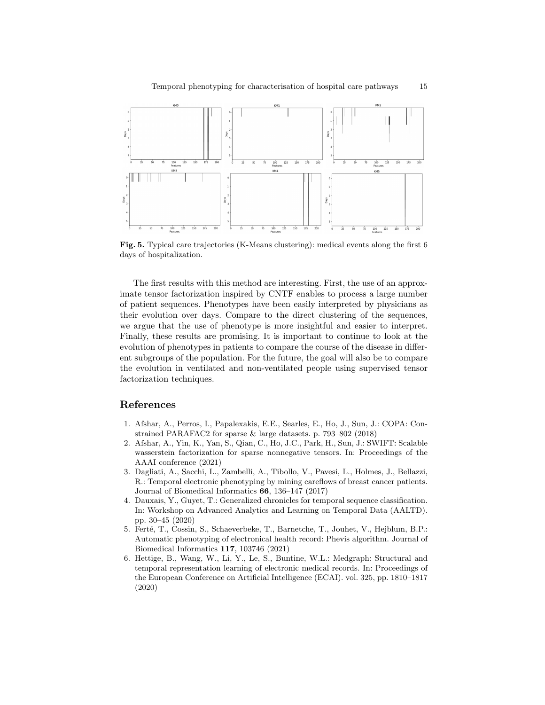

Fig. 5. Typical care trajectories (K-Means clustering): medical events along the first 6 days of hospitalization.

The first results with this method are interesting. First, the use of an approximate tensor factorization inspired by CNTF enables to process a large number of patient sequences. Phenotypes have been easily interpreted by physicians as their evolution over days. Compare to the direct clustering of the sequences, we argue that the use of phenotype is more insightful and easier to interpret. Finally, these results are promising. It is important to continue to look at the evolution of phenotypes in patients to compare the course of the disease in different subgroups of the population. For the future, the goal will also be to compare the evolution in ventilated and non-ventilated people using supervised tensor factorization techniques.

### References

- 1. Afshar, A., Perros, I., Papalexakis, E.E., Searles, E., Ho, J., Sun, J.: COPA: Constrained PARAFAC2 for sparse & large datasets. p. 793–802 (2018)
- 2. Afshar, A., Yin, K., Yan, S., Qian, C., Ho, J.C., Park, H., Sun, J.: SWIFT: Scalable wasserstein factorization for sparse nonnegative tensors. In: Proceedings of the AAAI conference (2021)
- 3. Dagliati, A., Sacchi, L., Zambelli, A., Tibollo, V., Pavesi, L., Holmes, J., Bellazzi, R.: Temporal electronic phenotyping by mining careflows of breast cancer patients. Journal of Biomedical Informatics 66, 136–147 (2017)
- 4. Dauxais, Y., Guyet, T.: Generalized chronicles for temporal sequence classification. In: Workshop on Advanced Analytics and Learning on Temporal Data (AALTD). pp. 30–45 (2020)
- 5. Ferté, T., Cossin, S., Schaeverbeke, T., Barnetche, T., Jouhet, V., Hejblum, B.P.: Automatic phenotyping of electronical health record: Phevis algorithm. Journal of Biomedical Informatics 117, 103746 (2021)
- 6. Hettige, B., Wang, W., Li, Y., Le, S., Buntine, W.L.: Medgraph: Structural and temporal representation learning of electronic medical records. In: Proceedings of the European Conference on Artificial Intelligence (ECAI). vol. 325, pp. 1810–1817 (2020)